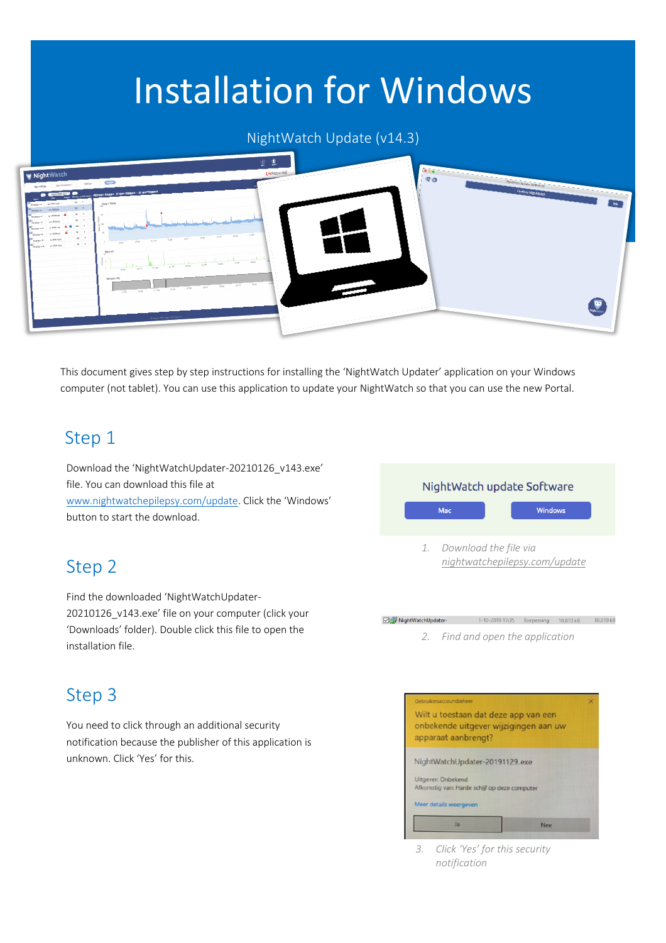# Installation for Windows

#### NightWatch Update (v14.3)



This document gives step by step instructions for installing the 'NightWatch Updater' application on your Windows computer (not tablet). You can use this application to update your NightWatch so that you can use the new Portal.

#### Step 1

Download the 'NightWatchUpdater-20210126\_v143.exe' file. You can download this file at www.nightwatchepilepsy.com/update. Click the 'Windows'

button to start the download.

#### Step 2

Find the downloaded 'NightWatchUpdater-20210126\_v143.exe' file on your computer (click your 'Downloads' folder). Double click this file to open the installation file.

#### Step 3

You need to click through an additional security notification because the publisher of this application is unknown. Click 'Yes' for this.



## *2. Find and open the application*

NightWatchUpdater-

1-10-2019 17:35 Toepassing 10.810 kB 10.810 kB



*<sup>3.</sup> Click 'Yes' for this security notification*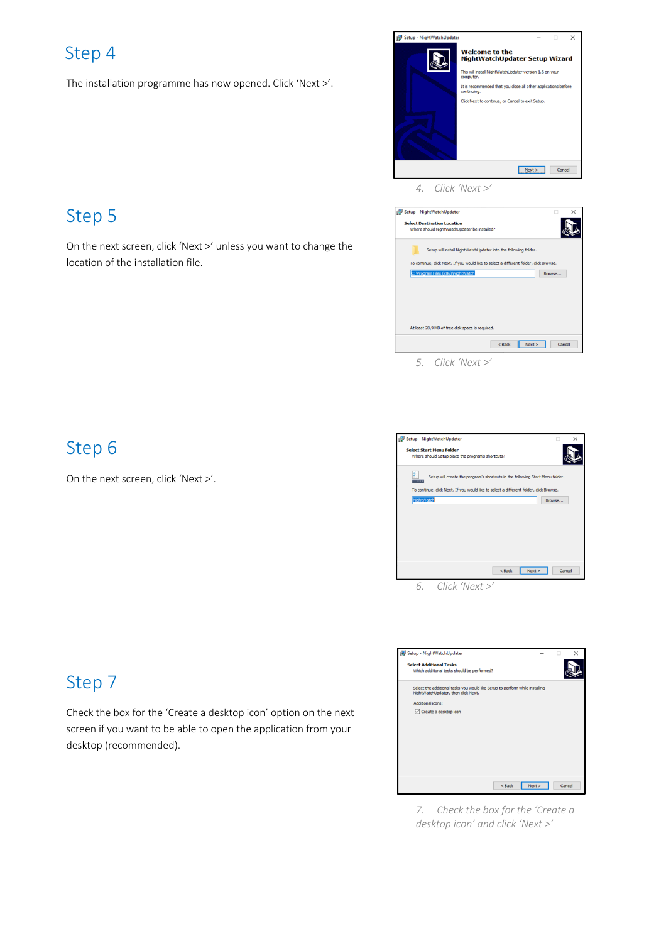#### Step 4

The installation programme has now opened. Click 'Next >'.



*4. Click 'Next >'*



Step 6

On the next screen, click 'Next >'.



Setup - NightWatchUpdater Select Additional Tasks<br>Which additional tasks should be performed? A Select the additional tasks you would like Setup to perform while installing<br>NightWatchUpdater, then click Next. Additional icons: Create a desktop icon  $\leq$  Back  $\boxed{\phantom{1} \text{Next} > \phantom{1}}$  Cancel

*7. Check the box for the 'Create a desktop icon' and click 'Next >'*

#### Step 7

Check the box for the 'Create a desktop icon' option on the next screen if you want to be able to open the application from your desktop (recommended).

# Step 5

On the next screen, click 'Next >' unless you want to change the location of the installation file.